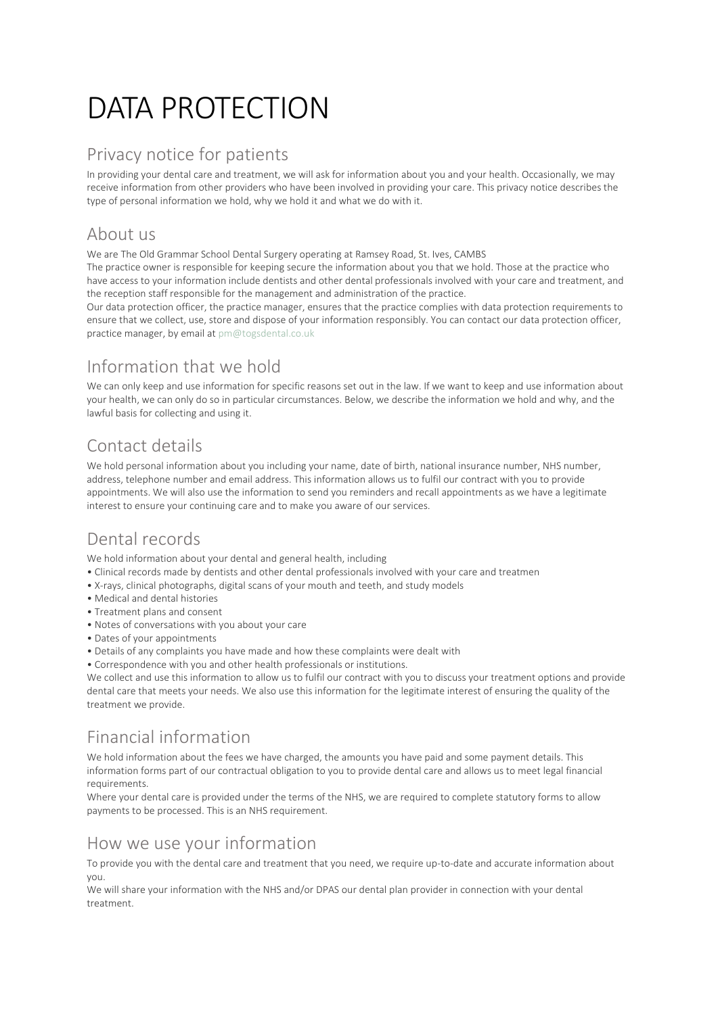# DATA PROTECTION

#### Privacy notice for patients

In providing your dental care and treatment, we will ask for information about you and your health. Occasionally, we may receive information from other providers who have been involved in providing your care. This privacy notice describes the type of personal information we hold, why we hold it and what we do with it.

#### About us

We are The Old Grammar School Dental Surgery operating at Ramsey Road, St. Ives, CAMBS

The practice owner is responsible for keeping secure the information about you that we hold. Those at the practice who have access to your information include dentists and other dental professionals involved with your care and treatment, and the reception staff responsible for the management and administration of the practice.

Our data protection officer, the practice manager, ensures that the practice complies with data protection requirements to ensure that we collect, use, store and dispose of your information responsibly. You can contact our data protection officer, practice manager, by email at [pm@togsdental.co.uk](mailto:pm@togsdental.co.uk)

# Information that we hold

We can only keep and use information for specific reasons set out in the law. If we want to keep and use information about your health, we can only do so in particular circumstances. Below, we describe the information we hold and why, and the lawful basis for collecting and using it.

# Contact details

We hold personal information about you including your name, date of birth, national insurance number, NHS number, address, telephone number and email address. This information allows us to fulfil our contract with you to provide appointments. We will also use the information to send you reminders and recall appointments as we have a legitimate interest to ensure your continuing care and to make you aware of our services.

# Dental records

We hold information about your dental and general health, including

- Clinical records made by dentists and other dental professionals involved with your care and treatmen
- X-rays, clinical photographs, digital scans of your mouth and teeth, and study models
- Medical and dental histories
- Treatment plans and consent
- Notes of conversations with you about your care
- Dates of your appointments
- Details of any complaints you have made and how these complaints were dealt with
- Correspondence with you and other health professionals or institutions.

We collect and use this information to allow us to fulfil our contract with you to discuss your treatment options and provide dental care that meets your needs. We also use this information for the legitimate interest of ensuring the quality of the treatment we provide.

# Financial information

We hold information about the fees we have charged, the amounts you have paid and some payment details. This information forms part of our contractual obligation to you to provide dental care and allows us to meet legal financial requirements.

Where your dental care is provided under the terms of the NHS, we are required to complete statutory forms to allow payments to be processed. This is an NHS requirement.

#### How we use your information

To provide you with the dental care and treatment that you need, we require up-to-date and accurate information about you.

We will share your information with the NHS and/or DPAS our dental plan provider in connection with your dental treatment.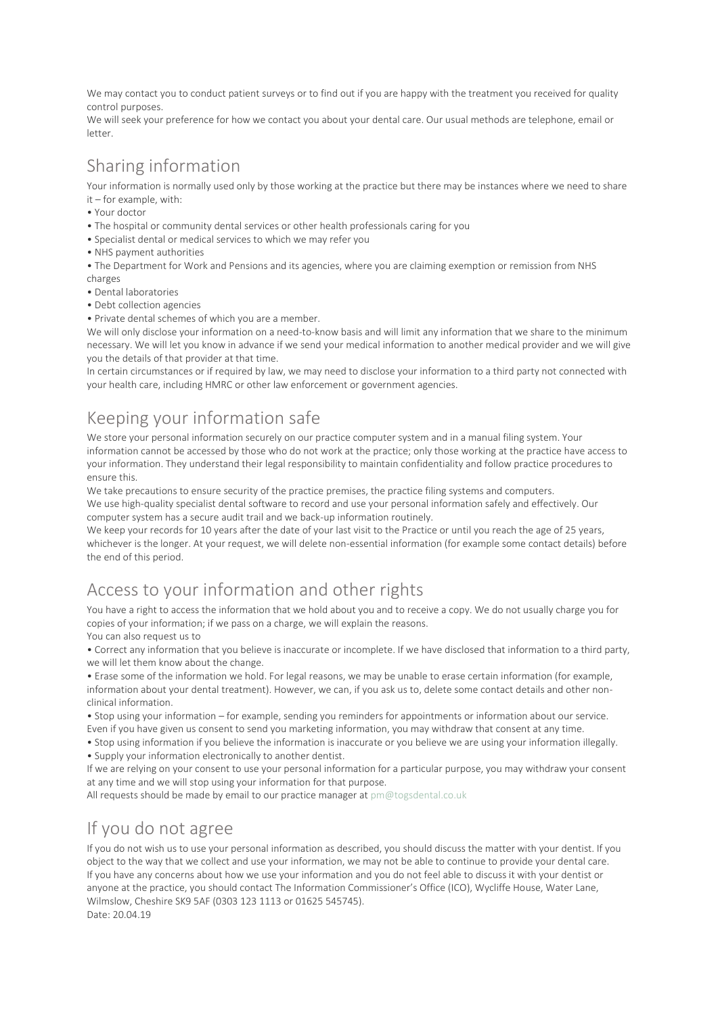We may contact you to conduct patient surveys or to find out if you are happy with the treatment you received for quality control purposes.

We will seek your preference for how we contact you about your dental care. Our usual methods are telephone, email or letter.

## Sharing information

Your information is normally used only by those working at the practice but there may be instances where we need to share it – for example, with:

- Your doctor
- The hospital or community dental services or other health professionals caring for you
- Specialist dental or medical services to which we may refer you
- NHS payment authorities
- The Department for Work and Pensions and its agencies, where you are claiming exemption or remission from NHS
- charges
- Dental laboratories
- Debt collection agencies

• Private dental schemes of which you are a member.

We will only disclose your information on a need-to-know basis and will limit any information that we share to the minimum necessary. We will let you know in advance if we send your medical information to another medical provider and we will give you the details of that provider at that time.

In certain circumstances or if required by law, we may need to disclose your information to a third party not connected with your health care, including HMRC or other law enforcement or government agencies.

### Keeping your information safe

We store your personal information securely on our practice computer system and in a manual filing system. Your information cannot be accessed by those who do not work at the practice; only those working at the practice have access to your information. They understand their legal responsibility to maintain confidentiality and follow practice procedures to ensure this.

We take precautions to ensure security of the practice premises, the practice filing systems and computers.

We use high-quality specialist dental software to record and use your personal information safely and effectively. Our computer system has a secure audit trail and we back-up information routinely.

We keep your records for 10 years after the date of your last visit to the Practice or until you reach the age of 25 years, whichever is the longer. At your request, we will delete non-essential information (for example some contact details) before the end of this period.

### Access to your information and other rights

You have a right to access the information that we hold about you and to receive a copy. We do not usually charge you for copies of your information; if we pass on a charge, we will explain the reasons.

You can also request us to

• Correct any information that you believe is inaccurate or incomplete. If we have disclosed that information to a third party, we will let them know about the change.

• Erase some of the information we hold. For legal reasons, we may be unable to erase certain information (for example, information about your dental treatment). However, we can, if you ask us to, delete some contact details and other nonclinical information.

• Stop using your information – for example, sending you reminders for appointments or information about our service. Even if you have given us consent to send you marketing information, you may withdraw that consent at any time.

• Stop using information if you believe the information is inaccurate or you believe we are using your information illegally.

• Supply your information electronically to another dentist.

If we are relying on your consent to use your personal information for a particular purpose, you may withdraw your consent at any time and we will stop using your information for that purpose.

All requests should be made by email to our practice manager at [pm@togsdental.co.uk](mailto:pm@togsdental.co.uk)

#### If you do not agree

If you do not wish us to use your personal information as described, you should discuss the matter with your dentist. If you object to the way that we collect and use your information, we may not be able to continue to provide your dental care. If you have any concerns about how we use your information and you do not feel able to discuss it with your dentist or anyone at the practice, you should contact The Information Commissioner's Office (ICO), Wycliffe House, Water Lane, Wilmslow, Cheshire SK9 5AF (0303 123 1113 or 01625 545745). Date: 20.04.19